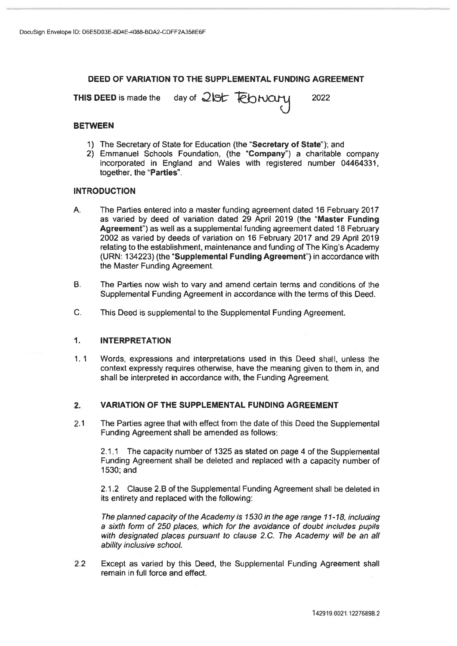# DEED OF VARIATION TO THE SUPPLEMENTAL FUNDING AGREEMENT

THIS DEED is made the day of 21st February 2022

## BETWEEN

- 1) The Secretary of State for Education (the "Secretary of State"); and
- 2) Emmanuel Schools Foundation, (the 'Company") <sup>a</sup> charitable company incorporated in England and Wales with registered number 04464331, together, the 'Parties'.

## INTRODUCTION

- A. The Parties entered into <sup>a</sup> master funding agreemen<sup>t</sup> dated 16 February 2017 as varied by deed of variation dated 29 April 2019 (the "Master Funding Agreement") as well as <sup>a</sup> supplemental funding agreemen<sup>t</sup> dated 18 February 2002 as varied by deeds of variation on 16 February 2017 and 29 April 2019 relating to the establishment, maintenance and funding of The King's Academy (URN: 134223) (the "Supplemental Funding Agreement") in accordance with the Master Funding Agreement.
- B. The Parties now wish to vary and amend certain terms and conditions of the Supplemental Funding Agreement in accordance with the terms of this Deed.
- C. This Deed is supplemental to the Supplemental Funding Agreement.

## 1. INTERPRETATION

1. 1 Words, expressions and interpretations used in this Deed shall, unless the context expressly requires otherwise, have the meaning given to them in, and shall be interpreted in accordance with, the Funding Agreement.

## 2. VARIATION OF THE SUPPLEMENTAL FUNDING AGREEMENT

2.1 The Parties agree that with effect from the date of this Deed the Supplemental Funding Agreement shall be amended as follows:

2.1.1 The capacity number of 1325 as stated on page 4 of the Supplemental Funding Agreement shall be deleted and replaced with <sup>a</sup> capacity number of 1530; and

2.1.2 Clause 2.B of the Supplemental Funding Agreement shall be deleted in its entirety and replaced with the following:

The planned capacity of the Academy is 1530 in the age range 11-18, including <sup>a</sup> sixth form of 250 places, which for the avoidance of doubt includes pupils with designated places pursuant to clause 2.C. The Academy will be an all ability inclusive school.

2.2 Except as varied by this Deed, the Supplemental Funding Agreement shall remain in full force and effect.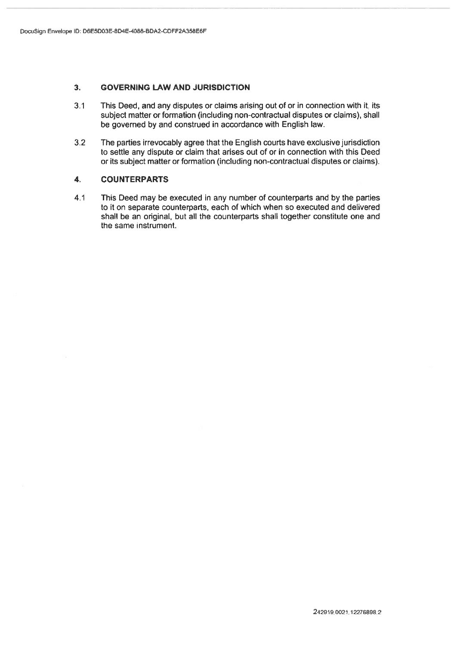## 3. GOVERNING LAW AND JURISDICTION

- 3.1 This Deed, and any disputes or claims arising out of or in connection with it, its subject matter or formation (including non-contractual disputes or claims), shall be governed by and construed in accordance with English law.
- 3.2 The parties irrevocably agree that the English courts have exclusive jurisdiction to settle any dispute or claim that arises out of or in connection with this Deed or its subject matter or formation (including non-contractual disputes or claims).

## 4. COUNTERPARTS

4.1 This Deed may be executed in any number of counterparts and by the parties to it on separate counterparts, each of which when so executed and delivered shall be an original, but all the counterparts shall together constitute one and the same instrument.